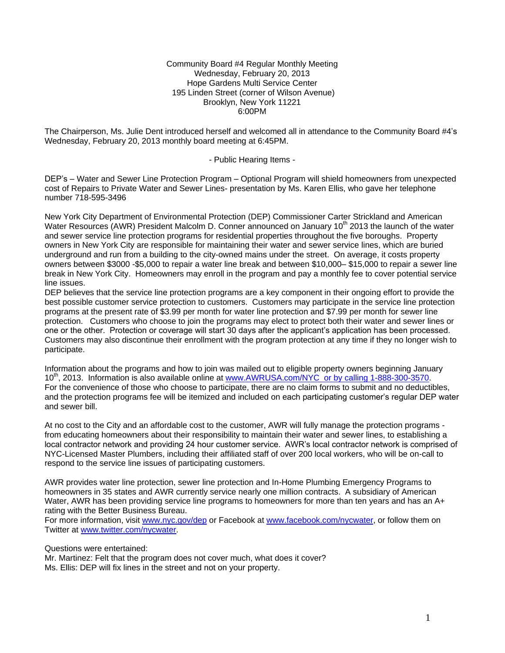Community Board #4 Regular Monthly Meeting Wednesday, February 20, 2013 Hope Gardens Multi Service Center 195 Linden Street (corner of Wilson Avenue) Brooklyn, New York 11221 6:00PM

The Chairperson, Ms. Julie Dent introduced herself and welcomed all in attendance to the Community Board #4's Wednesday, February 20, 2013 monthly board meeting at 6:45PM.

- Public Hearing Items -

DEP's – Water and Sewer Line Protection Program – Optional Program will shield homeowners from unexpected cost of Repairs to Private Water and Sewer Lines- presentation by Ms. Karen Ellis, who gave her telephone number 718-595-3496

New York City Department of Environmental Protection (DEP) Commissioner Carter Strickland and American Water Resources (AWR) President Malcolm D. Conner announced on January 10<sup>th</sup> 2013 the launch of the water and sewer service line protection programs for residential properties throughout the five boroughs. Property owners in New York City are responsible for maintaining their water and sewer service lines, which are buried underground and run from a building to the city-owned mains under the street. On average, it costs property owners between \$3000 -\$5,000 to repair a water line break and between \$10,000– \$15,000 to repair a sewer line break in New York City. Homeowners may enroll in the program and pay a monthly fee to cover potential service line issues.

DEP believes that the service line protection programs are a key component in their ongoing effort to provide the best possible customer service protection to customers. Customers may participate in the service line protection programs at the present rate of \$3.99 per month for water line protection and \$7.99 per month for sewer line protection. Customers who choose to join the programs may elect to protect both their water and sewer lines or one or the other. Protection or coverage will start 30 days after the applicant's application has been processed. Customers may also discontinue their enrollment with the program protection at any time if they no longer wish to participate.

Information about the programs and how to join was mailed out to eligible property owners beginning January 10<sup>th</sup>, 2013. Information is also available online at [www.AWRUSA.com/NYC or by calling 1-888-300-3570.](http://www.awrusa.com/NYC%20%20or%20by%20calling%201-888-300-3570) For the convenience of those who choose to participate, there are no claim forms to submit and no deductibles, and the protection programs fee will be itemized and included on each participating customer's regular DEP water and sewer bill.

At no cost to the City and an affordable cost to the customer, AWR will fully manage the protection programs from educating homeowners about their responsibility to maintain their water and sewer lines, to establishing a local contractor network and providing 24 hour customer service. AWR's local contractor network is comprised of NYC-Licensed Master Plumbers, including their affiliated staff of over 200 local workers, who will be on-call to respond to the service line issues of participating customers.

AWR provides water line protection, sewer line protection and In-Home Plumbing Emergency Programs to homeowners in 35 states and AWR currently service nearly one million contracts. A subsidiary of American Water, AWR has been providing service line programs to homeowners for more than ten years and has an A+ rating with the Better Business Bureau.

For more information, visit [www.nyc.gov/dep](http://www.nyc.gov/dep) or Facebook at [www.facebook.com/nycwater,](http://www.facebook.com/nycwater) or follow them on Twitter at [www.twitter.com/nycwater.](http://www.twitter.com/nycwater)

Questions were entertained:

Mr. Martinez: Felt that the program does not cover much, what does it cover?

Ms. Ellis: DEP will fix lines in the street and not on your property.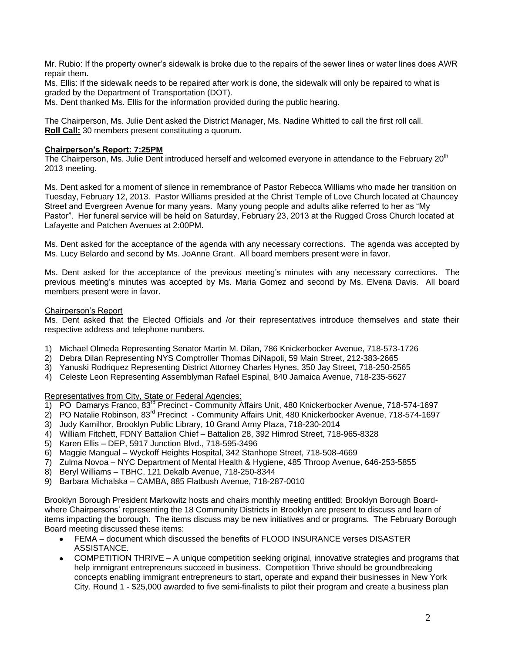Mr. Rubio: If the property owner's sidewalk is broke due to the repairs of the sewer lines or water lines does AWR repair them.

Ms. Ellis: If the sidewalk needs to be repaired after work is done, the sidewalk will only be repaired to what is graded by the Department of Transportation (DOT).

Ms. Dent thanked Ms. Ellis for the information provided during the public hearing.

The Chairperson, Ms. Julie Dent asked the District Manager, Ms. Nadine Whitted to call the first roll call. **Roll Call:** 30 members present constituting a quorum.

## **Chairperson's Report: 7:25PM**

The Chairperson, Ms. Julie Dent introduced herself and welcomed everyone in attendance to the February 20<sup>th</sup> 2013 meeting.

Ms. Dent asked for a moment of silence in remembrance of Pastor Rebecca Williams who made her transition on Tuesday, February 12, 2013. Pastor Williams presided at the Christ Temple of Love Church located at Chauncey Street and Evergreen Avenue for many years. Many young people and adults alike referred to her as "My Pastor". Her funeral service will be held on Saturday, February 23, 2013 at the Rugged Cross Church located at Lafayette and Patchen Avenues at 2:00PM.

Ms. Dent asked for the acceptance of the agenda with any necessary corrections. The agenda was accepted by Ms. Lucy Belardo and second by Ms. JoAnne Grant. All board members present were in favor.

Ms. Dent asked for the acceptance of the previous meeting's minutes with any necessary corrections. The previous meeting's minutes was accepted by Ms. Maria Gomez and second by Ms. Elvena Davis. All board members present were in favor.

### Chairperson's Report

Ms. Dent asked that the Elected Officials and /or their representatives introduce themselves and state their respective address and telephone numbers.

- 1) Michael Olmeda Representing Senator Martin M. Dilan, 786 Knickerbocker Avenue, 718-573-1726
- 2) Debra Dilan Representing NYS Comptroller Thomas DiNapoli, 59 Main Street, 212-383-2665
- 3) Yanuski Rodriquez Representing District Attorney Charles Hynes, 350 Jay Street, 718-250-2565
- 4) Celeste Leon Representing Assemblyman Rafael Espinal, 840 Jamaica Avenue, 718-235-5627

Representatives from City, State or Federal Agencies:

- 1) PO Damarys Franco, 83<sup>rd</sup> Precinct Community Affairs Unit, 480 Knickerbocker Avenue, 718-574-1697
- 2) PO Natalie Robinson, 83rd Precinct Community Affairs Unit, 480 Knickerbocker Avenue, 718-574-1697
- 3) Judy Kamilhor, Brooklyn Public Library, 10 Grand Army Plaza, 718-230-2014
- 4) William Fitchett, FDNY Battalion Chief Battalion 28, 392 Himrod Street, 718-965-8328
- 5) Karen Ellis DEP, 5917 Junction Blvd., 718-595-3496
- 6) Maggie Mangual Wyckoff Heights Hospital, 342 Stanhope Street, 718-508-4669
- 7) Zulma Novoa NYC Department of Mental Health & Hygiene, 485 Throop Avenue, 646-253-5855
- 8) Beryl Williams TBHC, 121 Dekalb Avenue, 718-250-8344
- 9) Barbara Michalska CAMBA, 885 Flatbush Avenue, 718-287-0010

Brooklyn Borough President Markowitz hosts and chairs monthly meeting entitled: Brooklyn Borough Boardwhere Chairpersons' representing the 18 Community Districts in Brooklyn are present to discuss and learn of items impacting the borough. The items discuss may be new initiatives and or programs. The February Borough Board meeting discussed these items:

- FEMA document which discussed the benefits of FLOOD INSURANCE verses DISASTER ASSISTANCE.
- COMPETITION THRIVE A unique competition seeking original, innovative strategies and programs that help immigrant entrepreneurs succeed in business. Competition Thrive should be groundbreaking concepts enabling immigrant entrepreneurs to start, operate and expand their businesses in New York City. Round 1 - \$25,000 awarded to five semi-finalists to pilot their program and create a business plan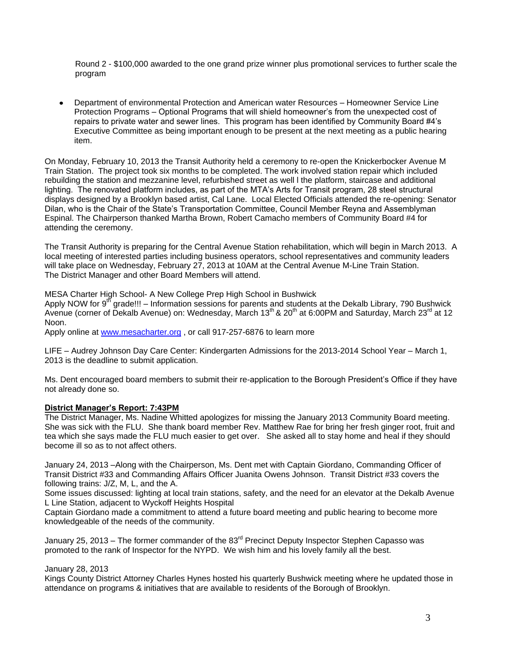Round 2 - \$100,000 awarded to the one grand prize winner plus promotional services to further scale the program

Department of environmental Protection and American water Resources – Homeowner Service Line Protection Programs – Optional Programs that will shield homeowner's from the unexpected cost of repairs to private water and sewer lines. This program has been identified by Community Board #4's Executive Committee as being important enough to be present at the next meeting as a public hearing item.

On Monday, February 10, 2013 the Transit Authority held a ceremony to re-open the Knickerbocker Avenue M Train Station. The project took six months to be completed. The work involved station repair which included rebuilding the station and mezzanine level, refurbished street as well l the platform, staircase and additional lighting. The renovated platform includes, as part of the MTA's Arts for Transit program, 28 steel structural displays designed by a Brooklyn based artist, Cal Lane. Local Elected Officials attended the re-opening: Senator Dilan, who is the Chair of the State's Transportation Committee, Council Member Reyna and Assemblyman Espinal. The Chairperson thanked Martha Brown, Robert Camacho members of Community Board #4 for attending the ceremony.

The Transit Authority is preparing for the Central Avenue Station rehabilitation, which will begin in March 2013. A local meeting of interested parties including business operators, school representatives and community leaders will take place on Wednesday, February 27, 2013 at 10AM at the Central Avenue M-Line Train Station. The District Manager and other Board Members will attend.

MESA Charter High School- A New College Prep High School in Bushwick

Apply NOW for 9<sup>th</sup> grade!!! – Information sessions for parents and students at the Dekalb Library, 790 Bushwick Avenue (corner of Dekalb Avenue) on: Wednesday, March 13<sup>th</sup> & 20<sup>th</sup> at 6:00PM and Saturday, March 23<sup>rd</sup> at 12 Noon.

Apply online at [www.mesacharter.org](http://www.mesacharter.org/) , or call 917-257-6876 to learn more

LIFE – Audrey Johnson Day Care Center: Kindergarten Admissions for the 2013-2014 School Year – March 1, 2013 is the deadline to submit application.

Ms. Dent encouraged board members to submit their re-application to the Borough President's Office if they have not already done so.

## **District Manager's Report: 7:43PM**

The District Manager, Ms. Nadine Whitted apologizes for missing the January 2013 Community Board meeting. She was sick with the FLU. She thank board member Rev. Matthew Rae for bring her fresh ginger root, fruit and tea which she says made the FLU much easier to get over. She asked all to stay home and heal if they should become ill so as to not affect others.

January 24, 2013 –Along with the Chairperson, Ms. Dent met with Captain Giordano, Commanding Officer of Transit District #33 and Commanding Affairs Officer Juanita Owens Johnson. Transit District #33 covers the following trains: J/Z, M, L, and the A.

Some issues discussed: lighting at local train stations, safety, and the need for an elevator at the Dekalb Avenue L Line Station, adjacent to Wyckoff Heights Hospital

Captain Giordano made a commitment to attend a future board meeting and public hearing to become more knowledgeable of the needs of the community.

January 25, 2013 – The former commander of the 83<sup>rd</sup> Precinct Deputy Inspector Stephen Capasso was promoted to the rank of Inspector for the NYPD. We wish him and his lovely family all the best.

### January 28, 2013

Kings County District Attorney Charles Hynes hosted his quarterly Bushwick meeting where he updated those in attendance on programs & initiatives that are available to residents of the Borough of Brooklyn.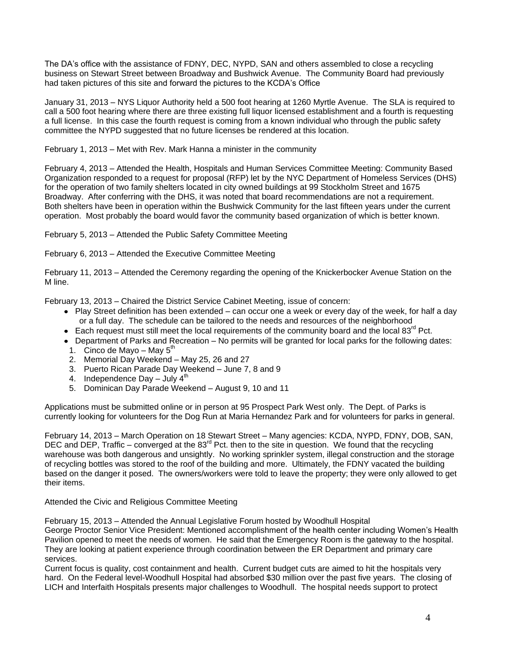The DA's office with the assistance of FDNY, DEC, NYPD, SAN and others assembled to close a recycling business on Stewart Street between Broadway and Bushwick Avenue. The Community Board had previously had taken pictures of this site and forward the pictures to the KCDA's Office

January 31, 2013 – NYS Liquor Authority held a 500 foot hearing at 1260 Myrtle Avenue. The SLA is required to call a 500 foot hearing where there are three existing full liquor licensed establishment and a fourth is requesting a full license. In this case the fourth request is coming from a known individual who through the public safety committee the NYPD suggested that no future licenses be rendered at this location.

February 1, 2013 – Met with Rev. Mark Hanna a minister in the community

February 4, 2013 – Attended the Health, Hospitals and Human Services Committee Meeting: Community Based Organization responded to a request for proposal (RFP) let by the NYC Department of Homeless Services (DHS) for the operation of two family shelters located in city owned buildings at 99 Stockholm Street and 1675 Broadway. After conferring with the DHS, it was noted that board recommendations are not a requirement. Both shelters have been in operation within the Bushwick Community for the last fifteen years under the current operation. Most probably the board would favor the community based organization of which is better known.

February 5, 2013 – Attended the Public Safety Committee Meeting

February 6, 2013 – Attended the Executive Committee Meeting

February 11, 2013 – Attended the Ceremony regarding the opening of the Knickerbocker Avenue Station on the M line.

February 13, 2013 – Chaired the District Service Cabinet Meeting, issue of concern:

- Play Street definition has been extended can occur one a week or every day of the week, for half a day or a full day. The schedule can be tailored to the needs and resources of the neighborhood
- **Each request must still meet the local requirements of the community board and the local 83<sup>rd</sup> Pct.**
- Department of Parks and Recreation No permits will be granted for local parks for the following dates: 1. Cinco de Mayo – May  $5<sup>th</sup>$
- 2. Memorial Day Weekend May 25, 26 and 27
- 3. Puerto Rican Parade Day Weekend June 7, 8 and 9
- 4. Independence Day  $-$  July  $4<sup>th</sup>$
- 5. Dominican Day Parade Weekend August 9, 10 and 11

Applications must be submitted online or in person at 95 Prospect Park West only. The Dept. of Parks is currently looking for volunteers for the Dog Run at Maria Hernandez Park and for volunteers for parks in general.

February 14, 2013 – March Operation on 18 Stewart Street – Many agencies: KCDA, NYPD, FDNY, DOB, SAN, DEC and DEP, Traffic – converged at the 83<sup>rd</sup> Pct. then to the site in question. We found that the recycling warehouse was both dangerous and unsightly. No working sprinkler system, illegal construction and the storage of recycling bottles was stored to the roof of the building and more. Ultimately, the FDNY vacated the building based on the danger it posed. The owners/workers were told to leave the property; they were only allowed to get their items.

### Attended the Civic and Religious Committee Meeting

February 15, 2013 – Attended the Annual Legislative Forum hosted by Woodhull Hospital

George Proctor Senior Vice President: Mentioned accomplishment of the health center including Women's Health Pavilion opened to meet the needs of women. He said that the Emergency Room is the gateway to the hospital. They are looking at patient experience through coordination between the ER Department and primary care services.

Current focus is quality, cost containment and health. Current budget cuts are aimed to hit the hospitals very hard. On the Federal level-Woodhull Hospital had absorbed \$30 million over the past five years. The closing of LICH and Interfaith Hospitals presents major challenges to Woodhull. The hospital needs support to protect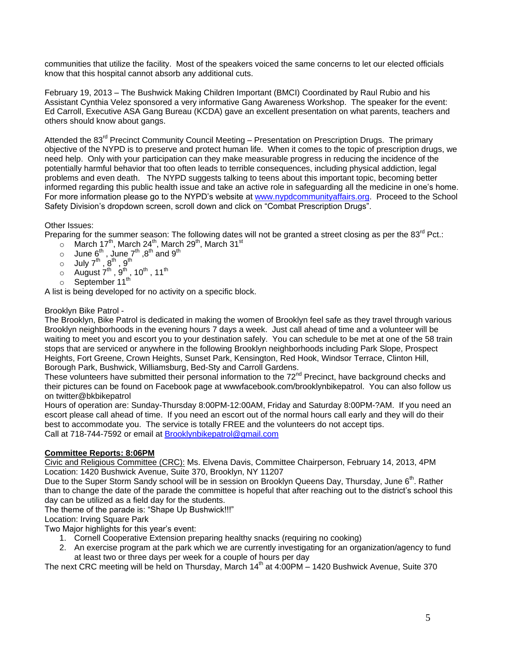communities that utilize the facility. Most of the speakers voiced the same concerns to let our elected officials know that this hospital cannot absorb any additional cuts.

February 19, 2013 – The Bushwick Making Children Important (BMCI) Coordinated by Raul Rubio and his Assistant Cynthia Velez sponsored a very informative Gang Awareness Workshop. The speaker for the event: Ed Carroll, Executive ASA Gang Bureau (KCDA) gave an excellent presentation on what parents, teachers and others should know about gangs.

Attended the 83<sup>rd</sup> Precinct Community Council Meeting – Presentation on Prescription Drugs. The primary objective of the NYPD is to preserve and protect human life. When it comes to the topic of prescription drugs, we need help. Only with your participation can they make measurable progress in reducing the incidence of the potentially harmful behavior that too often leads to terrible consequences, including physical addiction, legal problems and even death. The NYPD suggests talking to teens about this important topic, becoming better informed regarding this public health issue and take an active role in safeguarding all the medicine in one's home. For more information please go to the NYPD's website at [www.nypdcommunityaffairs.org.](http://www.nypdcommunityaffairs.org/) Proceed to the School Safety Division's dropdown screen, scroll down and click on "Combat Prescription Drugs".

# Other Issues:

Preparing for the summer season: The following dates will not be granted a street closing as per the 83<sup>rd</sup> Pct.:

- $\circ$  March 17<sup>th</sup>, March 24<sup>th</sup>, March 29<sup>th</sup>, March 31<sup>st</sup>
- $\circ$  June 6<sup>th</sup> , June 7<sup>th</sup> ,8<sup>th</sup> and 9<sup>th</sup>
- $_{\circ}\quad$  July 7 $^{\rm th}$  ,  $8^{\rm th}$  ,  $9^{\rm th}$
- $\circ$  August  $7^{\text{th}}$  ,  $9^{\text{th}}$  , 10<sup>th</sup> , 11<sup>th</sup>
- $\circ$  September 11<sup>th</sup>

A list is being developed for no activity on a specific block.

### Brooklyn Bike Patrol -

The Brooklyn, Bike Patrol is dedicated in making the women of Brooklyn feel safe as they travel through various Brooklyn neighborhoods in the evening hours 7 days a week. Just call ahead of time and a volunteer will be waiting to meet you and escort you to your destination safely. You can schedule to be met at one of the 58 train stops that are serviced or anywhere in the following Brooklyn neighborhoods including Park Slope, Prospect Heights, Fort Greene, Crown Heights, Sunset Park, Kensington, Red Hook, Windsor Terrace, Clinton Hill, Borough Park, Bushwick, Williamsburg, Bed-Sty and Carroll Gardens.

These volunteers have submitted their personal information to the 72<sup>nd</sup> Precinct, have background checks and their pictures can be found on Facebook page at wwwfacebook.com/brooklynbikepatrol. You can also follow us on twitter@bkbikepatrol

Hours of operation are: Sunday-Thursday 8:00PM-12:00AM, Friday and Saturday 8:00PM-?AM. If you need an escort please call ahead of time. If you need an escort out of the normal hours call early and they will do their best to accommodate you. The service is totally FREE and the volunteers do not accept tips. Call at 718-744-7592 or email at **Brooklynbikepatrol@gmail.com** 

## **Committee Reports: 8:06PM**

Civic and Religious Committee (CRC): Ms. Elvena Davis, Committee Chairperson, February 14, 2013, 4PM Location: 1420 Bushwick Avenue, Suite 370, Brooklyn, NY 11207

Due to the Super Storm Sandy school will be in session on Brooklyn Queens Day, Thursday, June 6<sup>th</sup>. Rather than to change the date of the parade the committee is hopeful that after reaching out to the district's school this day can be utilized as a field day for the students.

The theme of the parade is: "Shape Up Bushwick!!!"

Location: Irving Square Park

Two Major highlights for this year's event:

- 1. Cornell Cooperative Extension preparing healthy snacks (requiring no cooking)
- 2. An exercise program at the park which we are currently investigating for an organization/agency to fund at least two or three days per week for a couple of hours per day

The next CRC meeting will be held on Thursday, March  $14<sup>th</sup>$  at  $4:00PM - 1420$  Bushwick Avenue, Suite 370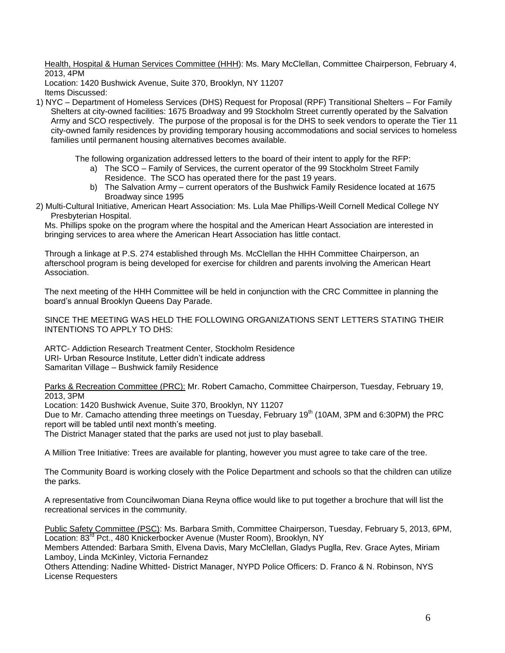Health, Hospital & Human Services Committee (HHH): Ms. Mary McClellan, Committee Chairperson, February 4, 2013, 4PM

Location: 1420 Bushwick Avenue, Suite 370, Brooklyn, NY 11207 Items Discussed:

1) NYC – Department of Homeless Services (DHS) Request for Proposal (RPF) Transitional Shelters – For Family Shelters at city-owned facilities: 1675 Broadway and 99 Stockholm Street currently operated by the Salvation Army and SCO respectively. The purpose of the proposal is for the DHS to seek vendors to operate the Tier 11 city-owned family residences by providing temporary housing accommodations and social services to homeless families until permanent housing alternatives becomes available.

The following organization addressed letters to the board of their intent to apply for the RFP:

- a) The SCO Family of Services, the current operator of the 99 Stockholm Street Family Residence. The SCO has operated there for the past 19 years.
- b) The Salvation Army current operators of the Bushwick Family Residence located at 1675 Broadway since 1995
- 2) Multi-Cultural Initiative, American Heart Association: Ms. Lula Mae Phillips-Weill Cornell Medical College NY Presbyterian Hospital.

Ms. Phillips spoke on the program where the hospital and the American Heart Association are interested in bringing services to area where the American Heart Association has little contact.

Through a linkage at P.S. 274 established through Ms. McClellan the HHH Committee Chairperson, an afterschool program is being developed for exercise for children and parents involving the American Heart Association.

The next meeting of the HHH Committee will be held in conjunction with the CRC Committee in planning the board's annual Brooklyn Queens Day Parade.

SINCE THE MEETING WAS HELD THE FOLLOWING ORGANIZATIONS SENT LETTERS STATING THEIR INTENTIONS TO APPLY TO DHS:

ARTC- Addiction Research Treatment Center, Stockholm Residence URI- Urban Resource Institute, Letter didn't indicate address Samaritan Village – Bushwick family Residence

Parks & Recreation Committee (PRC): Mr. Robert Camacho, Committee Chairperson, Tuesday, February 19, 2013, 3PM

Location: 1420 Bushwick Avenue, Suite 370, Brooklyn, NY 11207

Due to Mr. Camacho attending three meetings on Tuesday, February 19<sup>th</sup> (10AM, 3PM and 6:30PM) the PRC report will be tabled until next month's meeting.

The District Manager stated that the parks are used not just to play baseball.

A Million Tree Initiative: Trees are available for planting, however you must agree to take care of the tree.

The Community Board is working closely with the Police Department and schools so that the children can utilize the parks.

A representative from Councilwoman Diana Reyna office would like to put together a brochure that will list the recreational services in the community.

Public Safety Committee (PSC): Ms. Barbara Smith, Committee Chairperson, Tuesday, February 5, 2013, 6PM, Location: 83<sup>rd</sup> Pct., 480 Knickerbocker Avenue (Muster Room), Brooklyn, NY

Members Attended: Barbara Smith, Elvena Davis, Mary McClellan, Gladys Puglla, Rev. Grace Aytes, Miriam Lamboy, Linda McKinley, Victoria Fernandez

Others Attending: Nadine Whitted- District Manager, NYPD Police Officers: D. Franco & N. Robinson, NYS License Requesters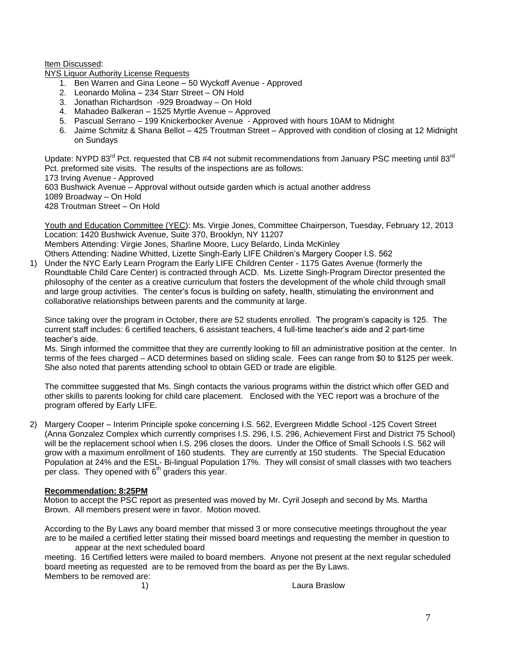Item Discussed:

NYS Liquor Authority License Requests

- 1. Ben Warren and Gina Leone 50 Wyckoff Avenue Approved
- 2. Leonardo Molina 234 Starr Street ON Hold
- 3. Jonathan Richardson -929 Broadway On Hold
- 4. Mahadeo Balkeran 1525 Myrtle Avenue Approved
- 5. Pascual Serrano 199 Knickerbocker Avenue Approved with hours 10AM to Midnight
- 6. Jaime Schmitz & Shana Bellot 425 Troutman Street Approved with condition of closing at 12 Midnight on Sundays

Update: NYPD 83<sup>rd</sup> Pct. requested that CB #4 not submit recommendations from January PSC meeting until 83<sup>rd</sup> Pct. preformed site visits. The results of the inspections are as follows: 173 Irving Avenue - Approved 603 Bushwick Avenue – Approval without outside garden which is actual another address 1089 Broadway – On Hold 428 Troutman Street – On Hold

Youth and Education Committee (YEC): Ms. Virgie Jones, Committee Chairperson, Tuesday, February 12, 2013 Location: 1420 Bushwick Avenue, Suite 370, Brooklyn, NY 11207 Members Attending: Virgie Jones, Sharline Moore, Lucy Belardo, Linda McKinley

Others Attending: Nadine Whitted, Lizette Singh-Early LIFE Children's Margery Cooper I.S. 562 1) Under the NYC Early Learn Program the Early LIFE Children Center - 1175 Gates Avenue (formerly the Roundtable Child Care Center) is contracted through ACD. Ms. Lizette Singh-Program Director presented the philosophy of the center as a creative curriculum that fosters the development of the whole child through small and large group activities. The center's focus is building on safety, health, stimulating the environment and collaborative relationships between parents and the community at large.

Since taking over the program in October, there are 52 students enrolled. The program's capacity is 125. The current staff includes: 6 certified teachers, 6 assistant teachers, 4 full-time teacher's aide and 2 part-time teacher's aide.

Ms. Singh informed the committee that they are currently looking to fill an administrative position at the center. In terms of the fees charged – ACD determines based on sliding scale. Fees can range from \$0 to \$125 per week. She also noted that parents attending school to obtain GED or trade are eligible.

The committee suggested that Ms. Singh contacts the various programs within the district which offer GED and other skills to parents looking for child care placement. Enclosed with the YEC report was a brochure of the program offered by Early LIFE.

2) Margery Cooper – Interim Principle spoke concerning I.S. 562, Evergreen Middle School -125 Covert Street (Anna Gonzalez Complex which currently comprises I.S. 296, I.S. 296, Achievement First and District 75 School) will be the replacement school when I.S. 296 closes the doors. Under the Office of Small Schools I.S. 562 will grow with a maximum enrollment of 160 students. They are currently at 150 students. The Special Education Population at 24% and the ESL- Bi-lingual Population 17%. They will consist of small classes with two teachers per class. They opened with  $6<sup>th</sup>$  graders this year.

### **Recommendation: 8:25PM**

 Motion to accept the PSC report as presented was moved by Mr. Cyril Joseph and second by Ms. Martha Brown. All members present were in favor. Motion moved.

According to the By Laws any board member that missed 3 or more consecutive meetings throughout the year are to be mailed a certified letter stating their missed board meetings and requesting the member in question to appear at the next scheduled board

meeting. 16 Certified letters were mailed to board members. Anyone not present at the next regular scheduled board meeting as requested are to be removed from the board as per the By Laws. Members to be removed are:

1) Laura Braslow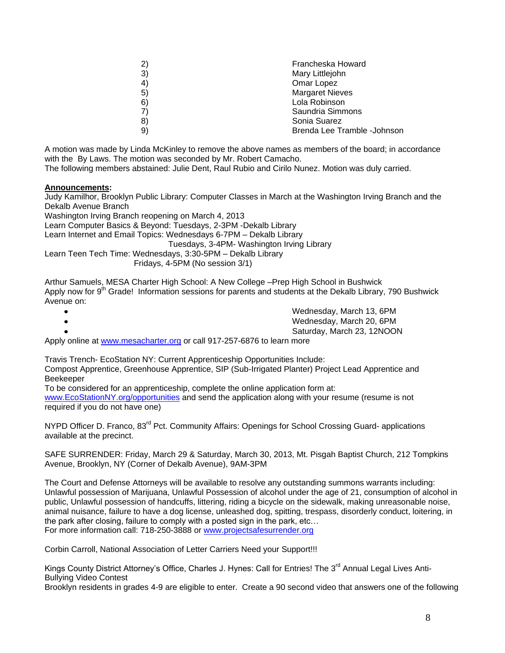| 2)<br>3)<br>4)<br>5)<br>6)<br>7)<br>8) | Francheska Howard<br>Mary Littlejohn<br>Omar Lopez<br><b>Margaret Nieves</b><br>Lola Robinson<br>Saundria Simmons<br>Sonia Suarez |
|----------------------------------------|-----------------------------------------------------------------------------------------------------------------------------------|
| 9)                                     | Brenda Lee Tramble -Johnson                                                                                                       |
|                                        |                                                                                                                                   |

A motion was made by Linda McKinley to remove the above names as members of the board; in accordance with the By Laws. The motion was seconded by Mr. Robert Camacho. The following members abstained: Julie Dent, Raul Rubio and Cirilo Nunez. Motion was duly carried.

# **Announcements:**

Judy Kamilhor, Brooklyn Public Library: Computer Classes in March at the Washington Irving Branch and the Dekalb Avenue Branch Washington Irving Branch reopening on March 4, 2013 Learn Computer Basics & Beyond: Tuesdays, 2-3PM -Dekalb Library Learn Internet and Email Topics: Wednesdays 6-7PM – Dekalb Library Tuesdays, 3-4PM- Washington Irving Library Learn Teen Tech Time: Wednesdays, 3:30-5PM – Dekalb Library Fridays, 4-5PM (No session 3/1)

Arthur Samuels, MESA Charter High School: A New College –Prep High School in Bushwick Apply now for 9<sup>th</sup> Grade! Information sessions for parents and students at the Dekalb Library, 790 Bushwick Avenue on:

|                                                                       | Wednesday, March 13, 6PM   |
|-----------------------------------------------------------------------|----------------------------|
|                                                                       | Wednesday, March 20, 6PM   |
|                                                                       | Saturday, March 23, 12NOON |
| ply opling of www.massacharter.org or coll 017.257 6076 to loarn more |                            |

Apply online at [www.mesacharter.org](http://www.mesacharter.org/) or call 917-257-6876 to learn more

Travis Trench- EcoStation NY: Current Apprenticeship Opportunities Include: Compost Apprentice, Greenhouse Apprentice, SIP (Sub-Irrigated Planter) Project Lead Apprentice and Beekeeper

To be considered for an apprenticeship, complete the online application form at: [www.EcoStationNY.org/opportunities](http://www.ecostationny.org/opportunities) and send the application along with your resume (resume is not required if you do not have one)

NYPD Officer D. Franco, 83<sup>rd</sup> Pct. Community Affairs: Openings for School Crossing Guard- applications available at the precinct.

SAFE SURRENDER: Friday, March 29 & Saturday, March 30, 2013, Mt. Pisgah Baptist Church, 212 Tompkins Avenue, Brooklyn, NY (Corner of Dekalb Avenue), 9AM-3PM

The Court and Defense Attorneys will be available to resolve any outstanding summons warrants including: Unlawful possession of Marijuana, Unlawful Possession of alcohol under the age of 21, consumption of alcohol in public, Unlawful possession of handcuffs, littering, riding a bicycle on the sidewalk, making unreasonable noise, animal nuisance, failure to have a dog license, unleashed dog, spitting, trespass, disorderly conduct, loitering, in the park after closing, failure to comply with a posted sign in the park, etc… For more information call: 718-250-3888 or [www.projectsafesurrender.org](http://www.projectsafesurrender.org/)

Corbin Carroll, National Association of Letter Carriers Need your Support!!!

Kings County District Attorney's Office, Charles J. Hynes: Call for Entries! The 3<sup>rd</sup> Annual Legal Lives Anti-Bullying Video Contest

Brooklyn residents in grades 4-9 are eligible to enter. Create a 90 second video that answers one of the following